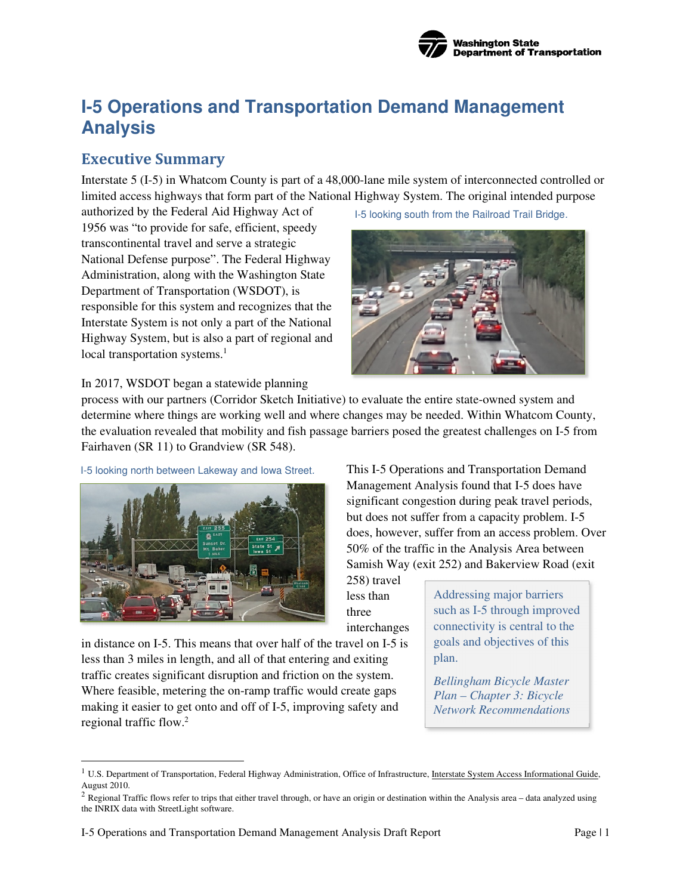

# **I-5 Operations and Transportation Demand Management Analysis**

## **Executive Summary**

Interstate 5 (I-5) in Whatcom County is part of a 48,000-lane mile system of interconnected controlled or limited access highways that form part of the National Highway System. The original intended purpose

authorized by the Federal Aid Highway Act of 1956 was "to provide for safe, efficient, speedy transcontinental travel and serve a strategic National Defense purpose". The Federal Highway Administration, along with the Washington State Department of Transportation (WSDOT), is responsible for this system and recognizes that the Interstate System is not only a part of the National Highway System, but is also a part of regional and local transportation systems.<sup>1</sup>

I-5 looking south from the Railroad Trail Bridge*.* 



#### In 2017, WSDOT began a statewide planning

process with our partners (Corridor Sketch Initiative) to evaluate the entire state-owned system and determine where things are working well and where changes may be needed. Within Whatcom County, the evaluation revealed that mobility and fish passage barriers posed the greatest challenges on I-5 from Fairhaven (SR 11) to Grandview (SR 548).

I-5 looking north between Lakeway and Iowa Street*.* 



This I-5 Operations and Transportation Demand Management Analysis found that I-5 does have significant congestion during peak travel periods, but does not suffer from a capacity problem. I-5 does, however, suffer from an access problem. Over 50% of the traffic in the Analysis Area between Samish Way (exit 252) and Bakerview Road (exit

258) travel less than three interchanges

in distance on I-5. This means that over half of the travel on I-5 is less than 3 miles in length, and all of that entering and exiting traffic creates significant disruption and friction on the system. Where feasible, metering the on-ramp traffic would create gaps making it easier to get onto and off of I-5, improving safety and regional traffic flow.<sup>2</sup>

Addressing major barriers such as I-5 through improved connectivity is central to the goals and objectives of this plan.

*Bellingham Bicycle Master Plan – Chapter 3: Bicycle Network Recommendations* 

<sup>&</sup>lt;sup>1</sup> U.S. Department of Transportation, Federal Highway Administration, Office of Infrastructure, Interstate System Access Informational Guide, August 2010.

 $2$  Regional Traffic flows refer to trips that either travel through, or have an origin or destination within the Analysis area – data analyzed using the INRIX data with StreetLight software.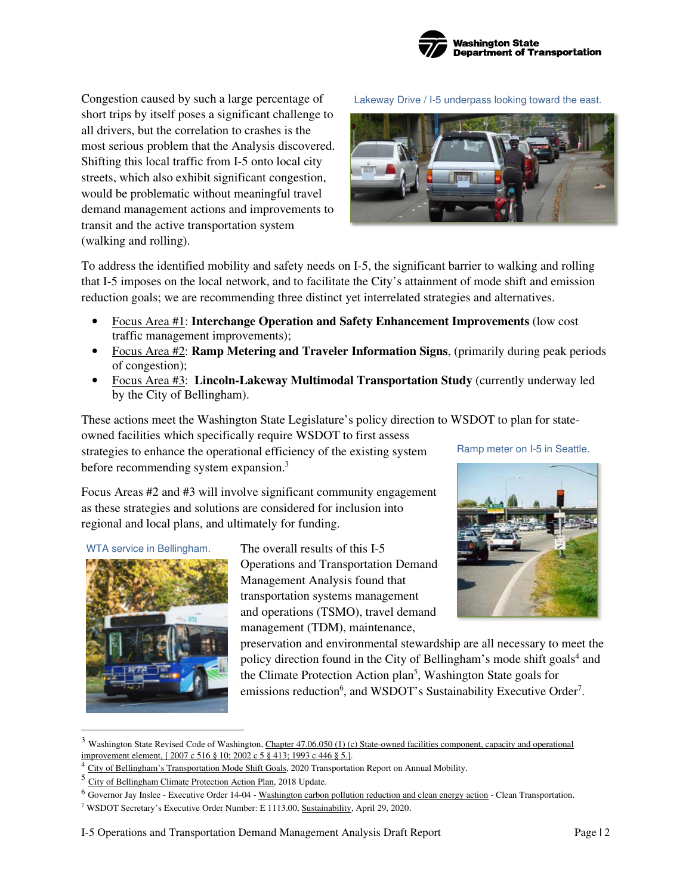

Congestion caused by such a large percentage of short trips by itself poses a significant challenge to all drivers, but the correlation to crashes is the most serious problem that the Analysis discovered. Shifting this local traffic from I-5 onto local city streets, which also exhibit significant congestion, would be problematic without meaningful travel demand management actions and improvements to transit and the active transportation system (walking and rolling).

Lakeway Drive / I-5 underpass looking toward the east.



To address the identified mobility and safety needs on I-5, the significant barrier to walking and rolling that I-5 imposes on the local network, and to facilitate the City's attainment of mode shift and emission reduction goals; we are recommending three distinct yet interrelated strategies and alternatives.

- Focus Area #1: **Interchange Operation and Safety Enhancement Improvements** (low cost traffic management improvements);
- Focus Area #2: **Ramp Metering and Traveler Information Signs**, (primarily during peak periods of congestion);
- Focus Area #3: **Lincoln-Lakeway Multimodal Transportation Study** (currently underway led by the City of Bellingham).

These actions meet the Washington State Legislature's policy direction to WSDOT to plan for state-

owned facilities which specifically require WSDOT to first assess strategies to enhance the operational efficiency of the existing system before recommending system expansion.<sup>3</sup>

Focus Areas #2 and #3 will involve significant community engagement as these strategies and solutions are considered for inclusion into regional and local plans, and ultimately for funding.



The overall results of this I-5 Operations and Transportation Demand Management Analysis found that transportation systems management and operations (TSMO), travel demand management (TDM), maintenance,

Ramp meter on I-5 in Seattle.



preservation and environmental stewardship are all necessary to meet the policy direction found in the City of Bellingham's mode shift goals<sup>4</sup> and the Climate Protection Action plan<sup>5</sup>, Washington State goals for emissions reduction<sup>6</sup>, and WSDOT's Sustainability Executive Order<sup>7</sup>.

 $3$  Washington State Revised Code of Washington, Chapter 47.06.050 (1) (c) State-owned facilities component, capacity and operational improvement element, [ 2007 c 516 § 10; 2002 c 5 § 413; 1993 c 446 § 5.].

<sup>&</sup>lt;sup>4</sup> City of Bellingham's Transportation Mode Shift Goals, 2020 Transportation Report on Annual Mobility.

<sup>5</sup> City of Bellingham Climate Protection Action Plan, 2018 Update.

<sup>&</sup>lt;sup>6</sup> Governor Jay Inslee - Executive Order 14-04 - Washington carbon pollution reduction and clean energy action - Clean Transportation.

<sup>&</sup>lt;sup>7</sup> WSDOT Secretary's Executive Order Number: E 1113.00, Sustainability, April 29, 2020.